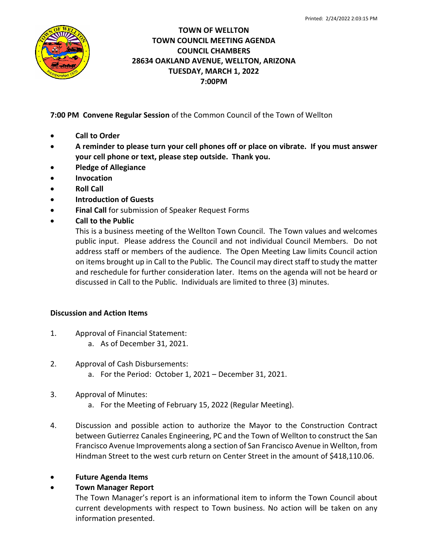

## **TOWN OF WELLTON TOWN COUNCIL MEETING AGENDA COUNCIL CHAMBERS 28634 OAKLAND AVENUE, WELLTON, ARIZONA TUESDAY, MARCH 1, 2022 7:00PM**

**7:00 PM Convene Regular Session** of the Common Council of the Town of Wellton

- **Call to Order**
- **A reminder to please turn your cell phones off or place on vibrate. If you must answer your cell phone or text, please step outside. Thank you.**
- **Pledge of Allegiance**
- **Invocation**
- **Roll Call**
- **Introduction of Guests**
- **Final Call** for submission of Speaker Request Forms
- **Call to the Public**

This is a business meeting of the Wellton Town Council. The Town values and welcomes public input. Please address the Council and not individual Council Members. Do not address staff or members of the audience. The Open Meeting Law limits Council action on items brought up in Call to the Public. The Council may direct staff to study the matter and reschedule for further consideration later. Items on the agenda will not be heard or discussed in Call to the Public. Individuals are limited to three (3) minutes.

## **Discussion and Action Items**

- 1. Approval of Financial Statement:
	- a. As of December 31, 2021.
- 2. Approval of Cash Disbursements:
	- a. For the Period: October 1, 2021 December 31, 2021.
- 3. Approval of Minutes:
	- a. For the Meeting of February 15, 2022 (Regular Meeting).
- 4. Discussion and possible action to authorize the Mayor to the Construction Contract between Gutierrez Canales Engineering, PC and the Town of Wellton to construct the San Francisco Avenue Improvements along a section of San Francisco Avenue in Wellton, from Hindman Street to the west curb return on Center Street in the amount of \$418,110.06.
- **Future Agenda Items**
- **Town Manager Report**

The Town Manager's report is an informational item to inform the Town Council about current developments with respect to Town business. No action will be taken on any information presented.